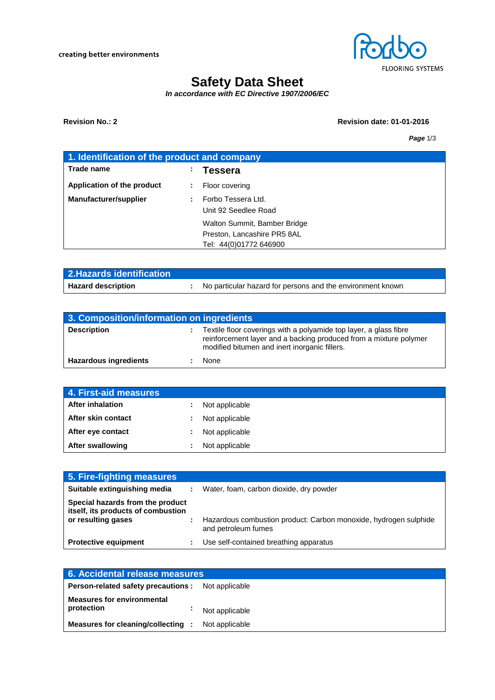

# **Safety Data Sheet**

*In accordance with EC Directive 1907/2006/EC*

### **Revision No.: 2 Revision date: 01-01-2016**

*Page* 1/3

| 1. Identification of the product and company |    |                                            |
|----------------------------------------------|----|--------------------------------------------|
| Trade name                                   | ÷. | Tessera                                    |
| Application of the product                   |    | Floor covering                             |
| <b>Manufacturer/supplier</b>                 |    | Forbo Tessera Ltd.<br>Unit 92 Seedlee Road |
|                                              |    | Walton Summit, Bamber Bridge               |
|                                              |    | Preston, Lancashire PR5 8AL                |
|                                              |    | Tel: 44(0)01772 646900                     |

| 2. Hazards identification |                                                            |
|---------------------------|------------------------------------------------------------|
| <b>Hazard description</b> | No particular hazard for persons and the environment known |

| 3. Composition/information on ingredients |  |                                                                                                                                                                                         |  |
|-------------------------------------------|--|-----------------------------------------------------------------------------------------------------------------------------------------------------------------------------------------|--|
| <b>Description</b>                        |  | Textile floor coverings with a polyamide top layer, a glass fibre<br>reinforcement layer and a backing produced from a mixture polymer<br>modified bitumen and inert inorganic fillers. |  |
| <b>Hazardous ingredients</b>              |  | None                                                                                                                                                                                    |  |

| 4. First-aid measures   |    |                |
|-------------------------|----|----------------|
| <b>After inhalation</b> |    | Not applicable |
| After skin contact      | ÷. | Not applicable |
| After eye contact       | ÷. | Not applicable |
| <b>After swallowing</b> |    | Not applicable |

| 5. Fire-fighting measures                                                                    |                                                                                         |
|----------------------------------------------------------------------------------------------|-----------------------------------------------------------------------------------------|
| Suitable extinguishing media                                                                 | Water, foam, carbon dioxide, dry powder                                                 |
| Special hazards from the product<br>itself, its products of combustion<br>or resulting gases | Hazardous combustion product: Carbon monoxide, hydrogen sulphide<br>and petroleum fumes |
| <b>Protective equipment</b>                                                                  | Use self-contained breathing apparatus                                                  |

| 6. Accidental release measures                           |                |  |
|----------------------------------------------------------|----------------|--|
| <b>Person-related safety precautions:</b> Not applicable |                |  |
| <b>Measures for environmental</b>                        |                |  |
| protection                                               | Not applicable |  |
| <b>Measures for cleaning/collecting :</b> Not applicable |                |  |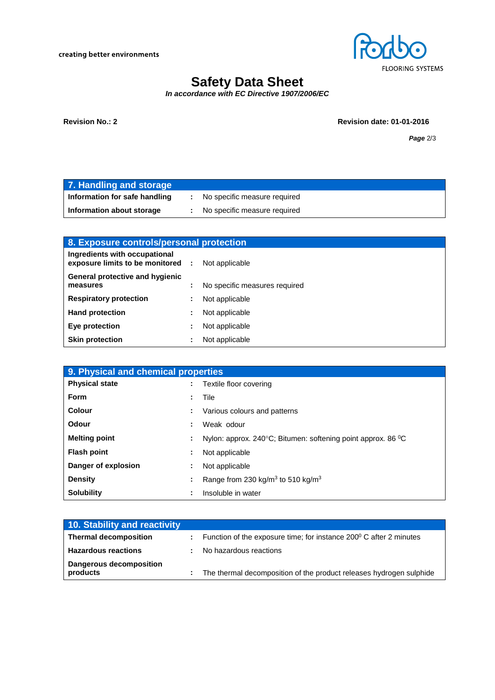creating better environments



# **Safety Data Sheet**

*In accordance with EC Directive 1907/2006/EC*

**Revision No.: 2 Revision date: 01-01-2016**

*Page* 2/3

| 7. Handling and storage       |                              |
|-------------------------------|------------------------------|
| Information for safe handling | No specific measure required |
| Information about storage     | No specific measure required |

| 8. Exposure controls/personal protection                           |  |                               |
|--------------------------------------------------------------------|--|-------------------------------|
| Ingredients with occupational<br>exposure limits to be monitored : |  | Not applicable                |
| General protective and hygienic<br>measures                        |  | No specific measures required |
| <b>Respiratory protection</b>                                      |  | Not applicable                |
| <b>Hand protection</b>                                             |  | Not applicable                |
| Eye protection                                                     |  | Not applicable                |
| <b>Skin protection</b>                                             |  | Not applicable                |

| 9. Physical and chemical properties |  |                                                                                   |
|-------------------------------------|--|-----------------------------------------------------------------------------------|
| <b>Physical state</b>               |  | Textile floor covering                                                            |
| <b>Form</b>                         |  | Tile                                                                              |
| Colour                              |  | Various colours and patterns                                                      |
| Odour                               |  | Weak odour                                                                        |
| <b>Melting point</b>                |  | Nylon: approx. 240 $^{\circ}$ C; Bitumen: softening point approx. 86 $^{\circ}$ C |
| <b>Flash point</b>                  |  | Not applicable                                                                    |
| Danger of explosion                 |  | Not applicable                                                                    |
| <b>Density</b>                      |  | Range from 230 kg/m <sup>3</sup> to 510 kg/m <sup>3</sup>                         |
| <b>Solubility</b>                   |  | Insoluble in water                                                                |

| 10. Stability and reactivity        |                                                                     |
|-------------------------------------|---------------------------------------------------------------------|
| <b>Thermal decomposition</b>        | Function of the exposure time; for instance 200° C after 2 minutes  |
| <b>Hazardous reactions</b>          | No hazardous reactions                                              |
| Dangerous decomposition<br>products | The thermal decomposition of the product releases hydrogen sulphide |